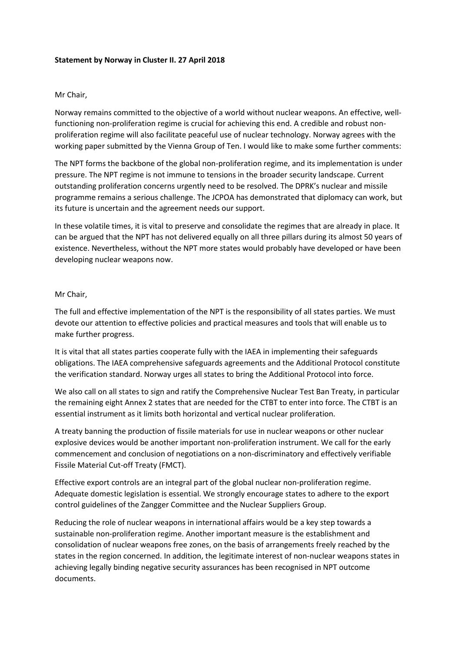## **Statement by Norway in Cluster II. 27 April 2018**

## Mr Chair,

Norway remains committed to the objective of a world without nuclear weapons. An effective, wellfunctioning non-proliferation regime is crucial for achieving this end. A credible and robust nonproliferation regime will also facilitate peaceful use of nuclear technology. Norway agrees with the working paper submitted by the Vienna Group of Ten. I would like to make some further comments:

The NPT forms the backbone of the global non-proliferation regime, and its implementation is under pressure. The NPT regime is not immune to tensions in the broader security landscape. Current outstanding proliferation concerns urgently need to be resolved. The DPRK's nuclear and missile programme remains a serious challenge. The JCPOA has demonstrated that diplomacy can work, but its future is uncertain and the agreement needs our support.

In these volatile times, it is vital to preserve and consolidate the regimes that are already in place. It can be argued that the NPT has not delivered equally on all three pillars during its almost 50 years of existence. Nevertheless, without the NPT more states would probably have developed or have been developing nuclear weapons now.

## Mr Chair,

The full and effective implementation of the NPT is the responsibility of all states parties. We must devote our attention to effective policies and practical measures and tools that will enable us to make further progress.

It is vital that all states parties cooperate fully with the IAEA in implementing their safeguards obligations. The IAEA comprehensive safeguards agreements and the Additional Protocol constitute the verification standard. Norway urges all states to bring the Additional Protocol into force.

We also call on all states to sign and ratify the Comprehensive Nuclear Test Ban Treaty, in particular the remaining eight Annex 2 states that are needed for the CTBT to enter into force. The CTBT is an essential instrument as it limits both horizontal and vertical nuclear proliferation.

A treaty banning the production of fissile materials for use in nuclear weapons or other nuclear explosive devices would be another important non-proliferation instrument. We call for the early commencement and conclusion of negotiations on a non-discriminatory and effectively verifiable Fissile Material Cut-off Treaty (FMCT).

Effective export controls are an integral part of the global nuclear non-proliferation regime. Adequate domestic legislation is essential. We strongly encourage states to adhere to the export control guidelines of the Zangger Committee and the Nuclear Suppliers Group.

Reducing the role of nuclear weapons in international affairs would be a key step towards a sustainable non-proliferation regime. Another important measure is the establishment and consolidation of nuclear weapons free zones, on the basis of arrangements freely reached by the states in the region concerned. In addition, the legitimate interest of non-nuclear weapons states in achieving legally binding negative security assurances has been recognised in NPT outcome documents.